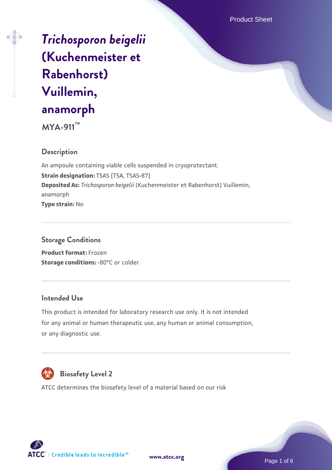# *[Trichosporon beigelii](https://www.atcc.org/products/mya-911)* **[\(Kuchenmeister et](https://www.atcc.org/products/mya-911) [Rabenhorst\)](https://www.atcc.org/products/mya-911) [Vuillemin,](https://www.atcc.org/products/mya-911) [anamorph](https://www.atcc.org/products/mya-911)**

**MYA-911™**

## **Description**

An ampoule containing viable cells suspended in cryoprotectant. **Strain designation:** TSAS [TSA, TSAS-87] **Deposited As:** *Trichosporon beigelii* (Kuchenmeister et Rabenhorst) Vuillemin, anamorph **Type strain:** No

## **Storage Conditions**

**Product format:** Frozen **Storage conditions: -80°C or colder** 

## **Intended Use**

This product is intended for laboratory research use only. It is not intended for any animal or human therapeutic use, any human or animal consumption, or any diagnostic use.



## **Biosafety Level 2**

ATCC determines the biosafety level of a material based on our risk





Page 1 of 6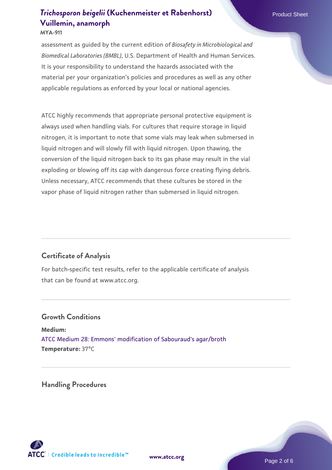**MYA-911**

assessment as guided by the current edition of *Biosafety in Microbiological and Biomedical Laboratories (BMBL)*, U.S. Department of Health and Human Services. It is your responsibility to understand the hazards associated with the material per your organization's policies and procedures as well as any other applicable regulations as enforced by your local or national agencies.

ATCC highly recommends that appropriate personal protective equipment is always used when handling vials. For cultures that require storage in liquid nitrogen, it is important to note that some vials may leak when submersed in liquid nitrogen and will slowly fill with liquid nitrogen. Upon thawing, the conversion of the liquid nitrogen back to its gas phase may result in the vial exploding or blowing off its cap with dangerous force creating flying debris. Unless necessary, ATCC recommends that these cultures be stored in the vapor phase of liquid nitrogen rather than submersed in liquid nitrogen.

## **Certificate of Analysis**

For batch-specific test results, refer to the applicable certificate of analysis that can be found at www.atcc.org.

#### **Growth Conditions**

**Medium:**  [ATCC Medium 28: Emmons' modification of Sabouraud's agar/broth](https://www.atcc.org/-/media/product-assets/documents/microbial-media-formulations/2/8/atcc-medium-28.pdf?rev=0da0c58cc2a343eeae735016b70809bb) **Temperature:** 37°C

**Handling Procedures**



**[www.atcc.org](http://www.atcc.org)**

Page 2 of 6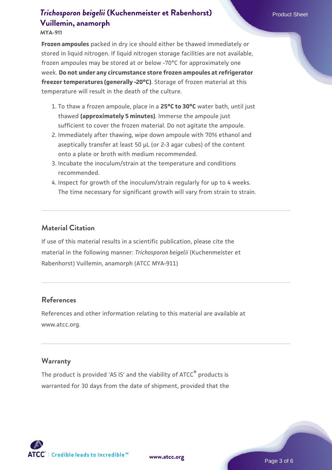#### **MYA-911**

**Frozen ampoules** packed in dry ice should either be thawed immediately or stored in liquid nitrogen. If liquid nitrogen storage facilities are not available, frozen ampoules may be stored at or below -70°C for approximately one week. **Do not under any circumstance store frozen ampoules at refrigerator freezer temperatures (generally -20°C)**. Storage of frozen material at this temperature will result in the death of the culture.

- 1. To thaw a frozen ampoule, place in a **25°C to 30°C** water bath, until just thawed **(approximately 5 minutes)**. Immerse the ampoule just sufficient to cover the frozen material. Do not agitate the ampoule.
- 2. Immediately after thawing, wipe down ampoule with 70% ethanol and aseptically transfer at least 50 µL (or 2-3 agar cubes) of the content onto a plate or broth with medium recommended.
- Incubate the inoculum/strain at the temperature and conditions 3. recommended.
- 4. Inspect for growth of the inoculum/strain regularly for up to 4 weeks. The time necessary for significant growth will vary from strain to strain.

#### **Material Citation**

If use of this material results in a scientific publication, please cite the material in the following manner: *Trichosporon beigelii* (Kuchenmeister et Rabenhorst) Vuillemin, anamorph (ATCC MYA-911)

#### **References**

References and other information relating to this material are available at www.atcc.org.

#### **Warranty**

The product is provided 'AS IS' and the viability of ATCC® products is warranted for 30 days from the date of shipment, provided that the

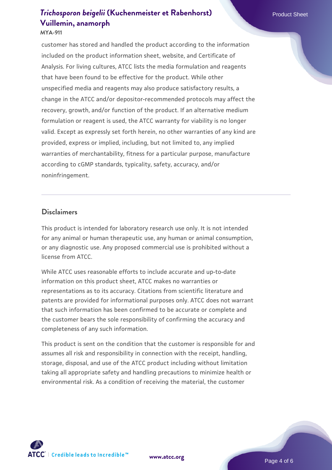#### **MYA-911**

customer has stored and handled the product according to the information included on the product information sheet, website, and Certificate of Analysis. For living cultures, ATCC lists the media formulation and reagents that have been found to be effective for the product. While other unspecified media and reagents may also produce satisfactory results, a change in the ATCC and/or depositor-recommended protocols may affect the recovery, growth, and/or function of the product. If an alternative medium formulation or reagent is used, the ATCC warranty for viability is no longer valid. Except as expressly set forth herein, no other warranties of any kind are provided, express or implied, including, but not limited to, any implied warranties of merchantability, fitness for a particular purpose, manufacture according to cGMP standards, typicality, safety, accuracy, and/or noninfringement.

#### **Disclaimers**

This product is intended for laboratory research use only. It is not intended for any animal or human therapeutic use, any human or animal consumption, or any diagnostic use. Any proposed commercial use is prohibited without a license from ATCC.

While ATCC uses reasonable efforts to include accurate and up-to-date information on this product sheet, ATCC makes no warranties or representations as to its accuracy. Citations from scientific literature and patents are provided for informational purposes only. ATCC does not warrant that such information has been confirmed to be accurate or complete and the customer bears the sole responsibility of confirming the accuracy and completeness of any such information.

This product is sent on the condition that the customer is responsible for and assumes all risk and responsibility in connection with the receipt, handling, storage, disposal, and use of the ATCC product including without limitation taking all appropriate safety and handling precautions to minimize health or environmental risk. As a condition of receiving the material, the customer



**[www.atcc.org](http://www.atcc.org)**

Page 4 of 6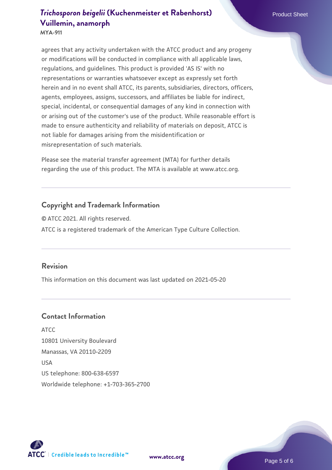agrees that any activity undertaken with the ATCC product and any progeny or modifications will be conducted in compliance with all applicable laws, regulations, and guidelines. This product is provided 'AS IS' with no representations or warranties whatsoever except as expressly set forth herein and in no event shall ATCC, its parents, subsidiaries, directors, officers, agents, employees, assigns, successors, and affiliates be liable for indirect, special, incidental, or consequential damages of any kind in connection with or arising out of the customer's use of the product. While reasonable effort is made to ensure authenticity and reliability of materials on deposit, ATCC is not liable for damages arising from the misidentification or misrepresentation of such materials.

Please see the material transfer agreement (MTA) for further details regarding the use of this product. The MTA is available at www.atcc.org.

## **Copyright and Trademark Information**

© ATCC 2021. All rights reserved. ATCC is a registered trademark of the American Type Culture Collection.

#### **Revision**

This information on this document was last updated on 2021-05-20

## **Contact Information**

ATCC 10801 University Boulevard Manassas, VA 20110-2209 USA US telephone: 800-638-6597 Worldwide telephone: +1-703-365-2700